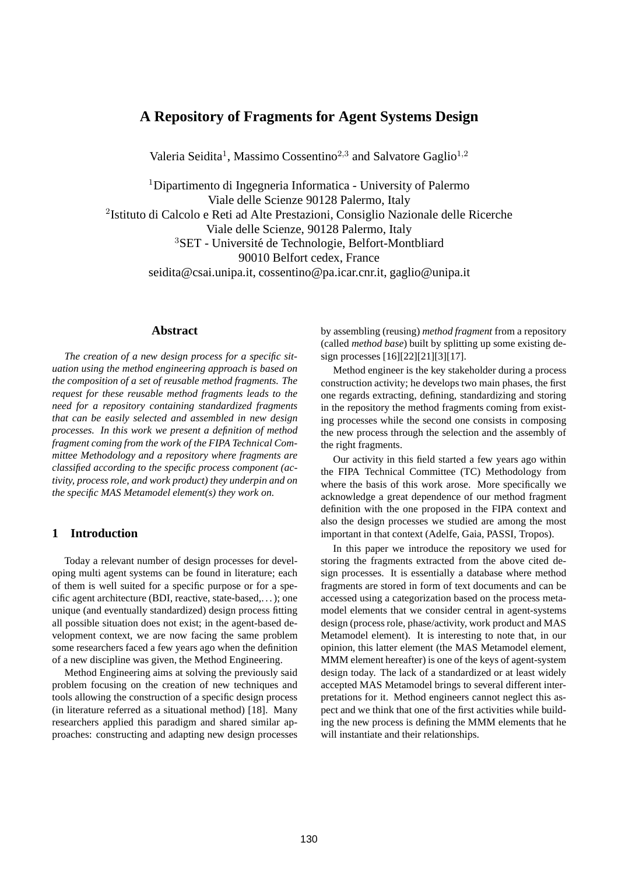# **A Repository of Fragments for Agent Systems Design**

Valeria Seidita<sup>1</sup>, Massimo Cossentino<sup>2,3</sup> and Salvatore Gaglio<sup>1,2</sup>

<sup>1</sup>Dipartimento di Ingegneria Informatica - University of Palermo Viale delle Scienze 90128 Palermo, Italy 2 Istituto di Calcolo e Reti ad Alte Prestazioni, Consiglio Nazionale delle Ricerche Viale delle Scienze, 90128 Palermo, Italy <sup>3</sup>SET - Université de Technologie, Belfort-Montbliard 90010 Belfort cedex, France

seidita@csai.unipa.it, cossentino@pa.icar.cnr.it, gaglio@unipa.it

## **Abstract**

*The creation of a new design process for a specific situation using the method engineering approach is based on the composition of a set of reusable method fragments. The request for these reusable method fragments leads to the need for a repository containing standardized fragments that can be easily selected and assembled in new design processes. In this work we present a definition of method fragment coming from the work of the FIPA Technical Committee Methodology and a repository where fragments are classified according to the specific process component (activity, process role, and work product) they underpin and on the specific MAS Metamodel element(s) they work on.*

## **1 Introduction**

Today a relevant number of design processes for developing multi agent systems can be found in literature; each of them is well suited for a specific purpose or for a specific agent architecture (BDI, reactive, state-based,. . . ); one unique (and eventually standardized) design process fitting all possible situation does not exist; in the agent-based development context, we are now facing the same problem some researchers faced a few years ago when the definition of a new discipline was given, the Method Engineering.

Method Engineering aims at solving the previously said problem focusing on the creation of new techniques and tools allowing the construction of a specific design process (in literature referred as a situational method) [18]. Many researchers applied this paradigm and shared similar approaches: constructing and adapting new design processes by assembling (reusing) *method fragment* from a repository (called *method base*) built by splitting up some existing design processes [16][22][21][3][17].

Method engineer is the key stakeholder during a process construction activity; he develops two main phases, the first one regards extracting, defining, standardizing and storing in the repository the method fragments coming from existing processes while the second one consists in composing the new process through the selection and the assembly of the right fragments.

Our activity in this field started a few years ago within the FIPA Technical Committee (TC) Methodology from where the basis of this work arose. More specifically we acknowledge a great dependence of our method fragment definition with the one proposed in the FIPA context and also the design processes we studied are among the most important in that context (Adelfe, Gaia, PASSI, Tropos).

In this paper we introduce the repository we used for storing the fragments extracted from the above cited design processes. It is essentially a database where method fragments are stored in form of text documents and can be accessed using a categorization based on the process metamodel elements that we consider central in agent-systems design (process role, phase/activity, work product and MAS Metamodel element). It is interesting to note that, in our opinion, this latter element (the MAS Metamodel element, MMM element hereafter) is one of the keys of agent-system design today. The lack of a standardized or at least widely accepted MAS Metamodel brings to several different interpretations for it. Method engineers cannot neglect this aspect and we think that one of the first activities while building the new process is defining the MMM elements that he will instantiate and their relationships.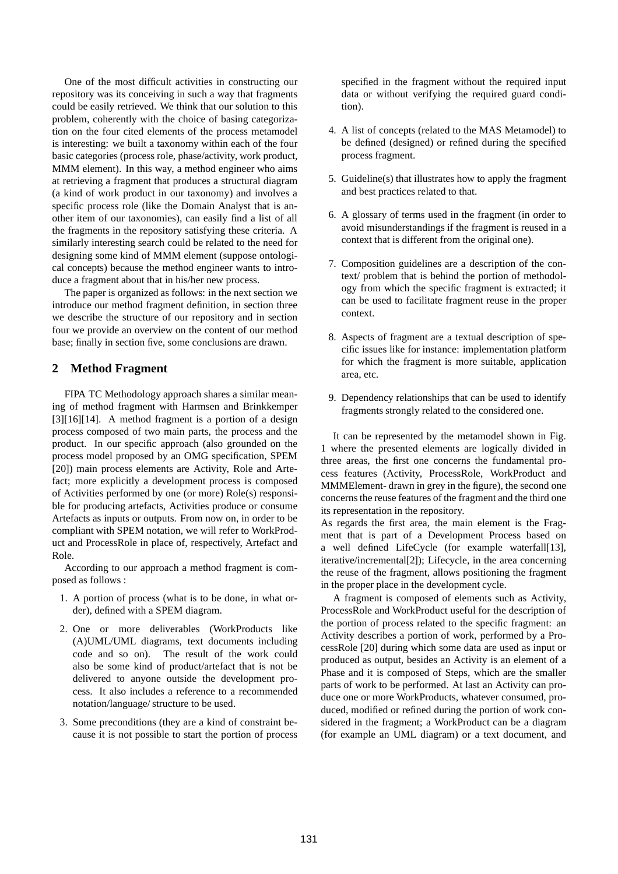One of the most difficult activities in constructing our repository was its conceiving in such a way that fragments could be easily retrieved. We think that our solution to this problem, coherently with the choice of basing categorization on the four cited elements of the process metamodel is interesting: we built a taxonomy within each of the four basic categories (process role, phase/activity, work product, MMM element). In this way, a method engineer who aims at retrieving a fragment that produces a structural diagram (a kind of work product in our taxonomy) and involves a specific process role (like the Domain Analyst that is another item of our taxonomies), can easily find a list of all the fragments in the repository satisfying these criteria. A similarly interesting search could be related to the need for designing some kind of MMM element (suppose ontological concepts) because the method engineer wants to introduce a fragment about that in his/her new process.

The paper is organized as follows: in the next section we introduce our method fragment definition, in section three we describe the structure of our repository and in section four we provide an overview on the content of our method base; finally in section five, some conclusions are drawn.

## **2 Method Fragment**

FIPA TC Methodology approach shares a similar meaning of method fragment with Harmsen and Brinkkemper [3][16][14]. A method fragment is a portion of a design process composed of two main parts, the process and the product. In our specific approach (also grounded on the process model proposed by an OMG specification, SPEM [20]) main process elements are Activity, Role and Artefact; more explicitly a development process is composed of Activities performed by one (or more) Role(s) responsible for producing artefacts, Activities produce or consume Artefacts as inputs or outputs. From now on, in order to be compliant with SPEM notation, we will refer to WorkProduct and ProcessRole in place of, respectively, Artefact and Role.

According to our approach a method fragment is composed as follows :

- 1. A portion of process (what is to be done, in what order), defined with a SPEM diagram.
- 2. One or more deliverables (WorkProducts like (A)UML/UML diagrams, text documents including code and so on). The result of the work could also be some kind of product/artefact that is not be delivered to anyone outside the development process. It also includes a reference to a recommended notation/language/ structure to be used.
- 3. Some preconditions (they are a kind of constraint because it is not possible to start the portion of process

specified in the fragment without the required input data or without verifying the required guard condition).

- 4. A list of concepts (related to the MAS Metamodel) to be defined (designed) or refined during the specified process fragment.
- 5. Guideline(s) that illustrates how to apply the fragment and best practices related to that.
- 6. A glossary of terms used in the fragment (in order to avoid misunderstandings if the fragment is reused in a context that is different from the original one).
- 7. Composition guidelines are a description of the context/ problem that is behind the portion of methodology from which the specific fragment is extracted; it can be used to facilitate fragment reuse in the proper context.
- 8. Aspects of fragment are a textual description of specific issues like for instance: implementation platform for which the fragment is more suitable, application area, etc.
- 9. Dependency relationships that can be used to identify fragments strongly related to the considered one.

It can be represented by the metamodel shown in Fig. 1 where the presented elements are logically divided in three areas, the first one concerns the fundamental process features (Activity, ProcessRole, WorkProduct and MMMElement- drawn in grey in the figure), the second one concerns the reuse features of the fragment and the third one its representation in the repository.

As regards the first area, the main element is the Fragment that is part of a Development Process based on a well defined LifeCycle (for example waterfall[13], iterative/incremental[2]); Lifecycle, in the area concerning the reuse of the fragment, allows positioning the fragment in the proper place in the development cycle.

A fragment is composed of elements such as Activity, ProcessRole and WorkProduct useful for the description of the portion of process related to the specific fragment: an Activity describes a portion of work, performed by a ProcessRole [20] during which some data are used as input or produced as output, besides an Activity is an element of a Phase and it is composed of Steps, which are the smaller parts of work to be performed. At last an Activity can produce one or more WorkProducts, whatever consumed, produced, modified or refined during the portion of work considered in the fragment; a WorkProduct can be a diagram (for example an UML diagram) or a text document, and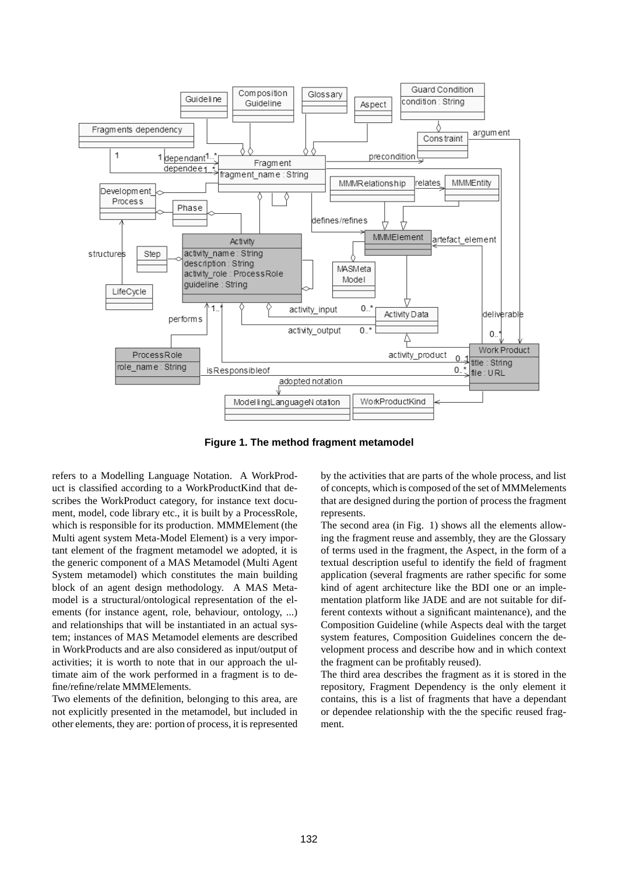

**Figure 1. The method fragment metamodel**

refers to a Modelling Language Notation. A WorkProduct is classified according to a WorkProductKind that describes the WorkProduct category, for instance text document, model, code library etc., it is built by a ProcessRole, which is responsible for its production. MMMElement (the Multi agent system Meta-Model Element) is a very important element of the fragment metamodel we adopted, it is the generic component of a MAS Metamodel (Multi Agent System metamodel) which constitutes the main building block of an agent design methodology. A MAS Metamodel is a structural/ontological representation of the elements (for instance agent, role, behaviour, ontology, ...) and relationships that will be instantiated in an actual system; instances of MAS Metamodel elements are described in WorkProducts and are also considered as input/output of activities; it is worth to note that in our approach the ultimate aim of the work performed in a fragment is to define/refine/relate MMMElements.

Two elements of the definition, belonging to this area, are not explicitly presented in the metamodel, but included in other elements, they are: portion of process, it is represented by the activities that are parts of the whole process, and list of concepts, which is composed of the set of MMMelements that are designed during the portion of process the fragment represents.

The second area (in Fig. 1) shows all the elements allowing the fragment reuse and assembly, they are the Glossary of terms used in the fragment, the Aspect, in the form of a textual description useful to identify the field of fragment application (several fragments are rather specific for some kind of agent architecture like the BDI one or an implementation platform like JADE and are not suitable for different contexts without a significant maintenance), and the Composition Guideline (while Aspects deal with the target system features, Composition Guidelines concern the development process and describe how and in which context the fragment can be profitably reused).

The third area describes the fragment as it is stored in the repository, Fragment Dependency is the only element it contains, this is a list of fragments that have a dependant or dependee relationship with the the specific reused fragment.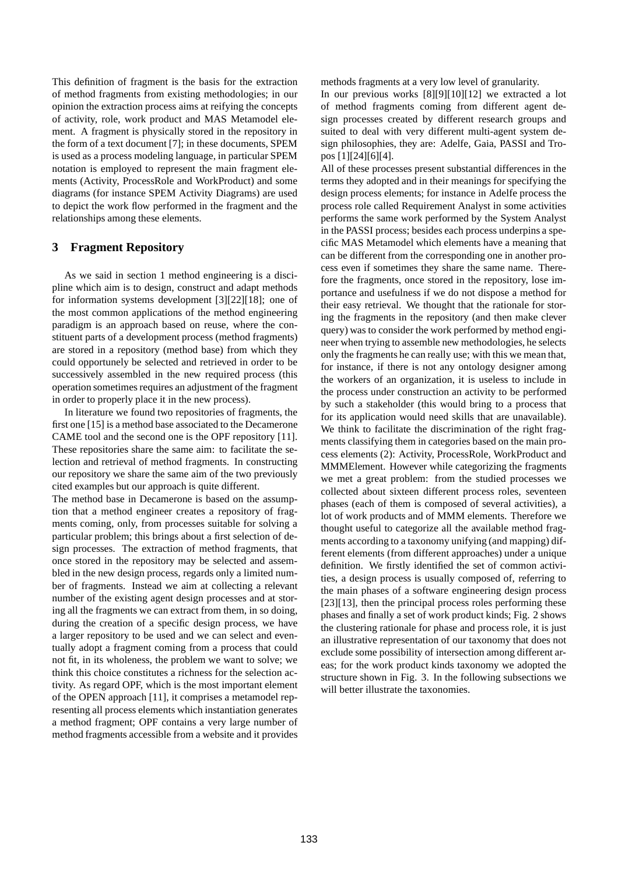This definition of fragment is the basis for the extraction of method fragments from existing methodologies; in our opinion the extraction process aims at reifying the concepts of activity, role, work product and MAS Metamodel element. A fragment is physically stored in the repository in the form of a text document [7]; in these documents, SPEM is used as a process modeling language, in particular SPEM notation is employed to represent the main fragment elements (Activity, ProcessRole and WorkProduct) and some diagrams (for instance SPEM Activity Diagrams) are used to depict the work flow performed in the fragment and the relationships among these elements.

## **3 Fragment Repository**

As we said in section 1 method engineering is a discipline which aim is to design, construct and adapt methods for information systems development [3][22][18]; one of the most common applications of the method engineering paradigm is an approach based on reuse, where the constituent parts of a development process (method fragments) are stored in a repository (method base) from which they could opportunely be selected and retrieved in order to be successively assembled in the new required process (this operation sometimes requires an adjustment of the fragment in order to properly place it in the new process).

In literature we found two repositories of fragments, the first one [15] is a method base associated to the Decamerone CAME tool and the second one is the OPF repository [11]. These repositories share the same aim: to facilitate the selection and retrieval of method fragments. In constructing our repository we share the same aim of the two previously cited examples but our approach is quite different.

The method base in Decamerone is based on the assumption that a method engineer creates a repository of fragments coming, only, from processes suitable for solving a particular problem; this brings about a first selection of design processes. The extraction of method fragments, that once stored in the repository may be selected and assembled in the new design process, regards only a limited number of fragments. Instead we aim at collecting a relevant number of the existing agent design processes and at storing all the fragments we can extract from them, in so doing, during the creation of a specific design process, we have a larger repository to be used and we can select and eventually adopt a fragment coming from a process that could not fit, in its wholeness, the problem we want to solve; we think this choice constitutes a richness for the selection activity. As regard OPF, which is the most important element of the OPEN approach [11], it comprises a metamodel representing all process elements which instantiation generates a method fragment; OPF contains a very large number of method fragments accessible from a website and it provides methods fragments at a very low level of granularity.

In our previous works [8][9][10][12] we extracted a lot of method fragments coming from different agent design processes created by different research groups and suited to deal with very different multi-agent system design philosophies, they are: Adelfe, Gaia, PASSI and Tropos [1][24][6][4].

All of these processes present substantial differences in the terms they adopted and in their meanings for specifying the design process elements; for instance in Adelfe process the process role called Requirement Analyst in some activities performs the same work performed by the System Analyst in the PASSI process; besides each process underpins a specific MAS Metamodel which elements have a meaning that can be different from the corresponding one in another process even if sometimes they share the same name. Therefore the fragments, once stored in the repository, lose importance and usefulness if we do not dispose a method for their easy retrieval. We thought that the rationale for storing the fragments in the repository (and then make clever query) was to consider the work performed by method engineer when trying to assemble new methodologies, he selects only the fragments he can really use; with this we mean that, for instance, if there is not any ontology designer among the workers of an organization, it is useless to include in the process under construction an activity to be performed by such a stakeholder (this would bring to a process that for its application would need skills that are unavailable). We think to facilitate the discrimination of the right fragments classifying them in categories based on the main process elements (2): Activity, ProcessRole, WorkProduct and MMMElement. However while categorizing the fragments we met a great problem: from the studied processes we collected about sixteen different process roles, seventeen phases (each of them is composed of several activities), a lot of work products and of MMM elements. Therefore we thought useful to categorize all the available method fragments according to a taxonomy unifying (and mapping) different elements (from different approaches) under a unique definition. We firstly identified the set of common activities, a design process is usually composed of, referring to the main phases of a software engineering design process [23][13], then the principal process roles performing these phases and finally a set of work product kinds; Fig. 2 shows the clustering rationale for phase and process role, it is just an illustrative representation of our taxonomy that does not exclude some possibility of intersection among different areas; for the work product kinds taxonomy we adopted the structure shown in Fig. 3. In the following subsections we will better illustrate the taxonomies.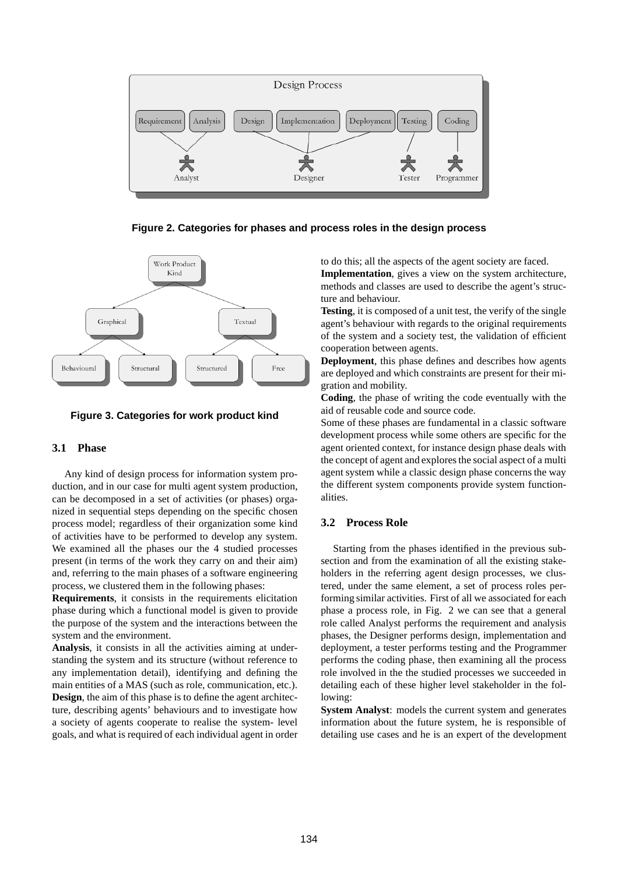

**Figure 2. Categories for phases and process roles in the design process**



## **Figure 3. Categories for work product kind**

## **3.1 Phase**

Any kind of design process for information system production, and in our case for multi agent system production, can be decomposed in a set of activities (or phases) organized in sequential steps depending on the specific chosen process model; regardless of their organization some kind of activities have to be performed to develop any system. We examined all the phases our the 4 studied processes present (in terms of the work they carry on and their aim) and, referring to the main phases of a software engineering process, we clustered them in the following phases:

**Requirements**, it consists in the requirements elicitation phase during which a functional model is given to provide the purpose of the system and the interactions between the system and the environment.

**Analysis**, it consists in all the activities aiming at understanding the system and its structure (without reference to any implementation detail), identifying and defining the main entities of a MAS (such as role, communication, etc.). **Design**, the aim of this phase is to define the agent architecture, describing agents' behaviours and to investigate how a society of agents cooperate to realise the system- level goals, and what is required of each individual agent in order to do this; all the aspects of the agent society are faced. **Implementation**, gives a view on the system architecture, methods and classes are used to describe the agent's structure and behaviour.

**Testing**, it is composed of a unit test, the verify of the single agent's behaviour with regards to the original requirements of the system and a society test, the validation of efficient cooperation between agents.

**Deployment**, this phase defines and describes how agents are deployed and which constraints are present for their migration and mobility.

**Coding**, the phase of writing the code eventually with the aid of reusable code and source code.

Some of these phases are fundamental in a classic software development process while some others are specific for the agent oriented context, for instance design phase deals with the concept of agent and explores the social aspect of a multi agent system while a classic design phase concerns the way the different system components provide system functionalities.

## **3.2 Process Role**

Starting from the phases identified in the previous subsection and from the examination of all the existing stakeholders in the referring agent design processes, we clustered, under the same element, a set of process roles performing similar activities. First of all we associated for each phase a process role, in Fig. 2 we can see that a general role called Analyst performs the requirement and analysis phases, the Designer performs design, implementation and deployment, a tester performs testing and the Programmer performs the coding phase, then examining all the process role involved in the the studied processes we succeeded in detailing each of these higher level stakeholder in the following:

**System Analyst**: models the current system and generates information about the future system, he is responsible of detailing use cases and he is an expert of the development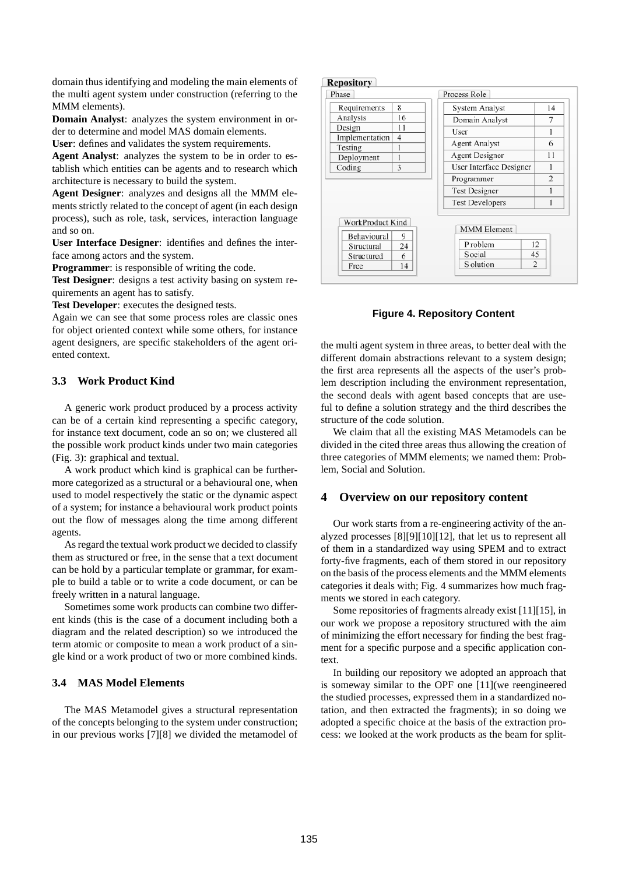domain thus identifying and modeling the main elements of the multi agent system under construction (referring to the MMM elements).

**Domain Analyst**: analyzes the system environment in order to determine and model MAS domain elements.

**User**: defines and validates the system requirements.

**Agent Analyst**: analyzes the system to be in order to establish which entities can be agents and to research which architecture is necessary to build the system.

**Agent Designer**: analyzes and designs all the MMM elements strictly related to the concept of agent (in each design process), such as role, task, services, interaction language and so on.

**User Interface Designer**: identifies and defines the interface among actors and the system.

**Programmer**: is responsible of writing the code.

**Test Designer**: designs a test activity basing on system requirements an agent has to satisfy.

**Test Developer**: executes the designed tests.

Again we can see that some process roles are classic ones for object oriented context while some others, for instance agent designers, are specific stakeholders of the agent oriented context.

## **3.3 Work Product Kind**

A generic work product produced by a process activity can be of a certain kind representing a specific category, for instance text document, code an so on; we clustered all the possible work product kinds under two main categories (Fig. 3): graphical and textual.

A work product which kind is graphical can be furthermore categorized as a structural or a behavioural one, when used to model respectively the static or the dynamic aspect of a system; for instance a behavioural work product points out the flow of messages along the time among different agents.

As regard the textual work product we decided to classify them as structured or free, in the sense that a text document can be hold by a particular template or grammar, for example to build a table or to write a code document, or can be freely written in a natural language.

Sometimes some work products can combine two different kinds (this is the case of a document including both a diagram and the related description) so we introduced the term atomic or composite to mean a work product of a single kind or a work product of two or more combined kinds.

## **3.4 MAS Model Elements**

The MAS Metamodel gives a structural representation of the concepts belonging to the system under construction; in our previous works [7][8] we divided the metamodel of

#### **Repository**

| Requirements                                                 | 8                  | System Analyst                                        | 14                         |
|--------------------------------------------------------------|--------------------|-------------------------------------------------------|----------------------------|
| Analysis                                                     | 16                 | Domain Analyst                                        | 7                          |
| Design                                                       | 11                 | User                                                  | 1                          |
| Implementation                                               | 4                  | <b>Agent Analyst</b>                                  | 6                          |
| Testing<br>Deployment                                        | 1                  | Agent Designer                                        | 11                         |
| Coding                                                       | 3                  | User Interface Designer                               |                            |
|                                                              |                    | Programmer                                            | $\overline{c}$             |
|                                                              |                    | <b>Test Designer</b>                                  |                            |
|                                                              |                    | <b>Test Developers</b>                                |                            |
| WorkProduct Kind<br>Behavioural<br>Structural<br>Struc tured | 9<br>24<br>6<br>14 | <b>MMM</b> Element<br>P roblem<br>Social<br>S olution | 12<br>45<br>$\overline{2}$ |

#### **Figure 4. Repository Content**

the multi agent system in three areas, to better deal with the different domain abstractions relevant to a system design; the first area represents all the aspects of the user's problem description including the environment representation, the second deals with agent based concepts that are useful to define a solution strategy and the third describes the structure of the code solution.

We claim that all the existing MAS Metamodels can be divided in the cited three areas thus allowing the creation of three categories of MMM elements; we named them: Problem, Social and Solution.

#### **4 Overview on our repository content**

Our work starts from a re-engineering activity of the analyzed processes [8][9][10][12], that let us to represent all of them in a standardized way using SPEM and to extract forty-five fragments, each of them stored in our repository on the basis of the process elements and the MMM elements categories it deals with; Fig. 4 summarizes how much fragments we stored in each category.

Some repositories of fragments already exist [11][15], in our work we propose a repository structured with the aim of minimizing the effort necessary for finding the best fragment for a specific purpose and a specific application context.

In building our repository we adopted an approach that is someway similar to the OPF one [11](we reengineered the studied processes, expressed them in a standardized notation, and then extracted the fragments); in so doing we adopted a specific choice at the basis of the extraction process: we looked at the work products as the beam for split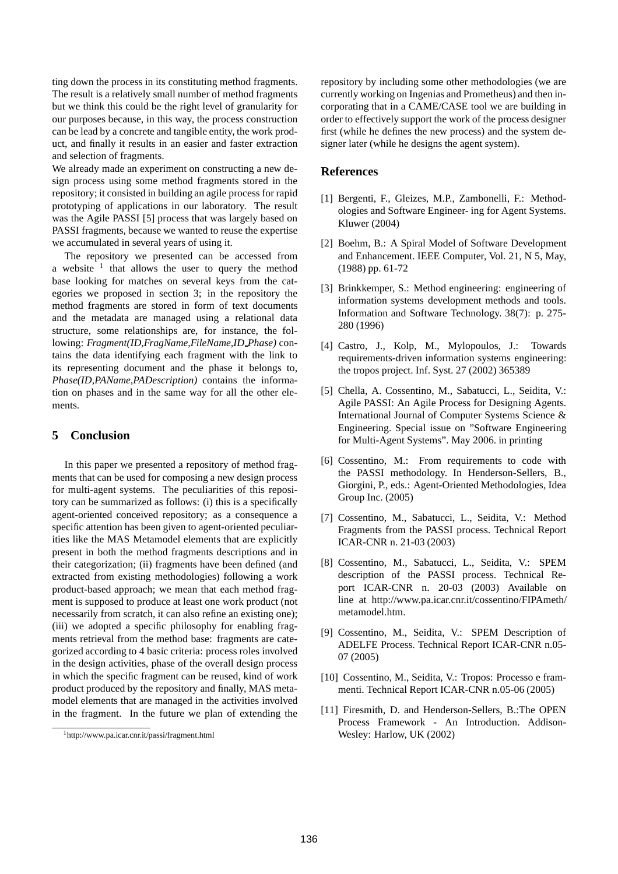ting down the process in its constituting method fragments. The result is a relatively small number of method fragments but we think this could be the right level of granularity for our purposes because, in this way, the process construction can be lead by a concrete and tangible entity, the work product, and finally it results in an easier and faster extraction and selection of fragments.

We already made an experiment on constructing a new design process using some method fragments stored in the repository; it consisted in building an agile process for rapid prototyping of applications in our laboratory. The result was the Agile PASSI [5] process that was largely based on PASSI fragments, because we wanted to reuse the expertise we accumulated in several years of using it.

The repository we presented can be accessed from a website  $\frac{1}{1}$  that allows the user to query the method base looking for matches on several keys from the categories we proposed in section 3; in the repository the method fragments are stored in form of text documents and the metadata are managed using a relational data structure, some relationships are, for instance, the following: *Fragment(ID,FragName,FileName,ID Phase)* contains the data identifying each fragment with the link to its representing document and the phase it belongs to, *Phase(ID,PAName,PADescription)* contains the information on phases and in the same way for all the other elements.

## **5 Conclusion**

In this paper we presented a repository of method fragments that can be used for composing a new design process for multi-agent systems. The peculiarities of this repository can be summarized as follows: (i) this is a specifically agent-oriented conceived repository; as a consequence a specific attention has been given to agent-oriented peculiarities like the MAS Metamodel elements that are explicitly present in both the method fragments descriptions and in their categorization; (ii) fragments have been defined (and extracted from existing methodologies) following a work product-based approach; we mean that each method fragment is supposed to produce at least one work product (not necessarily from scratch, it can also refine an existing one); (iii) we adopted a specific philosophy for enabling fragments retrieval from the method base: fragments are categorized according to 4 basic criteria: process roles involved in the design activities, phase of the overall design process in which the specific fragment can be reused, kind of work product produced by the repository and finally, MAS metamodel elements that are managed in the activities involved in the fragment. In the future we plan of extending the repository by including some other methodologies (we are currently working on Ingenias and Prometheus) and then incorporating that in a CAME/CASE tool we are building in order to effectively support the work of the process designer first (while he defines the new process) and the system designer later (while he designs the agent system).

## **References**

- [1] Bergenti, F., Gleizes, M.P., Zambonelli, F.: Methodologies and Software Engineer- ing for Agent Systems. Kluwer (2004)
- [2] Boehm, B.: A Spiral Model of Software Development and Enhancement. IEEE Computer, Vol. 21, N 5, May, (1988) pp. 61-72
- [3] Brinkkemper, S.: Method engineering: engineering of information systems development methods and tools. Information and Software Technology. 38(7): p. 275- 280 (1996)
- [4] Castro, J., Kolp, M., Mylopoulos, J.: Towards requirements-driven information systems engineering: the tropos project. Inf. Syst. 27 (2002) 365389
- [5] Chella, A. Cossentino, M., Sabatucci, L., Seidita, V.: Agile PASSI: An Agile Process for Designing Agents. International Journal of Computer Systems Science & Engineering. Special issue on "Software Engineering for Multi-Agent Systems". May 2006. in printing
- [6] Cossentino, M.: From requirements to code with the PASSI methodology. In Henderson-Sellers, B., Giorgini, P., eds.: Agent-Oriented Methodologies, Idea Group Inc. (2005)
- [7] Cossentino, M., Sabatucci, L., Seidita, V.: Method Fragments from the PASSI process. Technical Report ICAR-CNR n. 21-03 (2003)
- [8] Cossentino, M., Sabatucci, L., Seidita, V.: SPEM description of the PASSI process. Technical Report ICAR-CNR n. 20-03 (2003) Available on line at http://www.pa.icar.cnr.it/cossentino/FIPAmeth/ metamodel.htm.
- [9] Cossentino, M., Seidita, V.: SPEM Description of ADELFE Process. Technical Report ICAR-CNR n.05- 07 (2005)
- [10] Cossentino, M., Seidita, V.: Tropos: Processo e frammenti. Technical Report ICAR-CNR n.05-06 (2005)
- [11] Firesmith, D. and Henderson-Sellers, B.:The OPEN Process Framework - An Introduction. Addison-Wesley: Harlow, UK (2002)

<sup>1</sup>http://www.pa.icar.cnr.it/passi/fragment.html